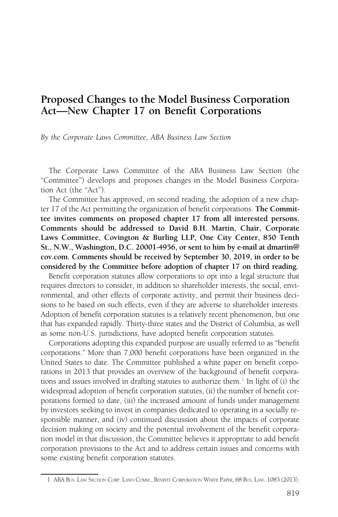# Proposed Changes to the Model Business Corporation Act—New Chapter 17 on Benefit Corporations

By the Corporate Laws Committee, ABA Business Law Section

The Corporate Laws Committee of the ABA Business Law Section (the "Committee") develops and proposes changes in the Model Business Corporation Act (the "Act").

The Committee has approved, on second reading, the adoption of a new chapter 17 of the Act permitting the organization of benefit corporations. The Committee invites comments on proposed chapter 17 from all interested persons. Comments should be addressed to David B.H. Martin, Chair, Corporate Laws Committee, Covington & Burling LLP, One City Center, 850 Tenth St., N.W., Washington, D.C. 20001-4956, or sent to him by e-mail at dmartin@ cov.com. Comments should be received by September 30, 2019, in order to be considered by the Committee before adoption of chapter 17 on third reading.

Benefit corporation statutes allow corporations to opt into a legal structure that requires directors to consider, in addition to shareholder interests, the social, environmental, and other effects of corporate activity, and permit their business decisions to be based on such effects, even if they are adverse to shareholder interests. Adoption of benefit corporation statutes is a relatively recent phenomenon, but one that has expanded rapidly. Thirty-three states and the District of Columbia, as well as some non-U.S. jurisdictions, have adopted benefit corporation statutes.

Corporations adopting this expanded purpose are usually referred to as "benefit corporations." More than 7,000 benefit corporations have been organized in the United States to date. The Committee published a white paper on benefit corporations in 2013 that provides an overview of the background of benefit corporations and issues involved in drafting statutes to authorize them.<sup>1</sup> In light of (i) the widespread adoption of benefit corporation statutes, (ii) the number of benefit corporations formed to date, (iii) the increased amount of funds under management by investors seeking to invest in companies dedicated to operating in a socially responsible manner, and (iv) continued discussion about the impacts of corporate decision making on society and the potential involvement of the benefit corporation model in that discussion, the Committee believes it appropriate to add benefit corporation provisions to the Act and to address certain issues and concerns with some existing benefit corporation statutes.

<sup>1</sup> ABA BUS. LAW SECTION CORP. LAWS COMM., BENEFIT CORPORATION WHITE PAPER, 68 BUS. LAW. 1083 (2013).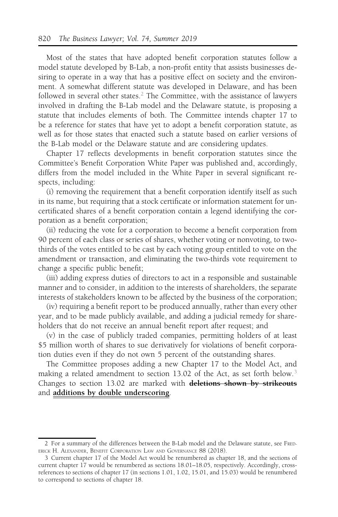Most of the states that have adopted benefit corporation statutes follow a model statute developed by B-Lab, a non-profit entity that assists businesses desiring to operate in a way that has a positive effect on society and the environment. A somewhat different statute was developed in Delaware, and has been followed in several other states.<sup>2</sup> The Committee, with the assistance of lawyers involved in drafting the B-Lab model and the Delaware statute, is proposing a statute that includes elements of both. The Committee intends chapter 17 to be a reference for states that have yet to adopt a benefit corporation statute, as well as for those states that enacted such a statute based on earlier versions of the B-Lab model or the Delaware statute and are considering updates.

Chapter 17 reflects developments in benefit corporation statutes since the Committee's Benefit Corporation White Paper was published and, accordingly, differs from the model included in the White Paper in several significant respects, including:

(i) removing the requirement that a benefit corporation identify itself as such in its name, but requiring that a stock certificate or information statement for uncertificated shares of a benefit corporation contain a legend identifying the corporation as a benefit corporation;

(ii) reducing the vote for a corporation to become a benefit corporation from 90 percent of each class or series of shares, whether voting or nonvoting, to twothirds of the votes entitled to be cast by each voting group entitled to vote on the amendment or transaction, and eliminating the two-thirds vote requirement to change a specific public benefit;

(iii) adding express duties of directors to act in a responsible and sustainable manner and to consider, in addition to the interests of shareholders, the separate interests of stakeholders known to be affected by the business of the corporation;

(iv) requiring a benefit report to be produced annually, rather than every other year, and to be made publicly available, and adding a judicial remedy for shareholders that do not receive an annual benefit report after request; and

(v) in the case of publicly traded companies, permitting holders of at least \$5 million worth of shares to sue derivatively for violations of benefit corporation duties even if they do not own 5 percent of the outstanding shares.

The Committee proposes adding a new Chapter 17 to the Model Act, and making a related amendment to section  $13.02$  of the Act, as set forth below.<sup>3</sup> Changes to section 13.02 are marked with deletions shown by strikeouts and additions by double underscoring.

<sup>2</sup> For a summary of the differences between the B-Lab model and the Delaware statute, see FRED-ERICK H. ALEXANDER, BENEFIT CORPORATION LAW AND GOVERNANCE 88 (2018).

<sup>3</sup> Current chapter 17 of the Model Act would be renumbered as chapter 18, and the sections of current chapter 17 would be renumbered as sections 18.01–18.05, respectively. Accordingly, crossreferences to sections of chapter 17 (in sections 1.01, 1.02, 15.01, and 15.03) would be renumbered to correspond to sections of chapter 18.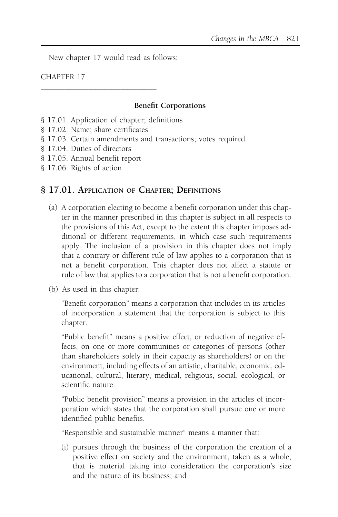New chapter 17 would read as follows:

CHAPTER 17

#### Benefit Corporations

- § 17.01. Application of chapter; definitions
- § 17.02. Name; share certificates

\_\_\_\_\_\_\_\_\_\_\_\_\_\_\_\_\_\_\_\_\_\_\_\_\_\_\_\_\_

- § 17.03. Certain amendments and transactions; votes required
- § 17.04. Duties of directors
- § 17.05. Annual benefit report
- § 17.06. Rights of action

# § 17.01. APPLICATION OF CHAPTER; DEFINITIONS

- (a) A corporation electing to become a benefit corporation under this chapter in the manner prescribed in this chapter is subject in all respects to the provisions of this Act, except to the extent this chapter imposes additional or different requirements, in which case such requirements apply. The inclusion of a provision in this chapter does not imply that a contrary or different rule of law applies to a corporation that is not a benefit corporation. This chapter does not affect a statute or rule of law that applies to a corporation that is not a benefit corporation.
- (b) As used in this chapter:

"Benefit corporation" means a corporation that includes in its articles of incorporation a statement that the corporation is subject to this chapter.

"Public benefit" means a positive effect, or reduction of negative effects, on one or more communities or categories of persons (other than shareholders solely in their capacity as shareholders) or on the environment, including effects of an artistic, charitable, economic, educational, cultural, literary, medical, religious, social, ecological, or scientific nature.

"Public benefit provision" means a provision in the articles of incorporation which states that the corporation shall pursue one or more identified public benefits.

"Responsible and sustainable manner" means a manner that:

(i) pursues through the business of the corporation the creation of a positive effect on society and the environment, taken as a whole, that is material taking into consideration the corporation's size and the nature of its business; and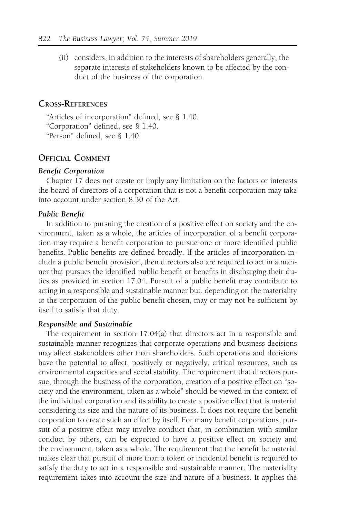(ii) considers, in addition to the interests of shareholders generally, the separate interests of stakeholders known to be affected by the conduct of the business of the corporation.

# CROSS-REFERENCES

"Articles of incorporation" defined, see § 1.40. "Corporation" defined, see § 1.40. "Person" defined, see § 1.40.

# OFFICIAL COMMENT

#### Benefit Corporation

Chapter 17 does not create or imply any limitation on the factors or interests the board of directors of a corporation that is not a benefit corporation may take into account under section 8.30 of the Act.

#### Public Benefit

In addition to pursuing the creation of a positive effect on society and the environment, taken as a whole, the articles of incorporation of a benefit corporation may require a benefit corporation to pursue one or more identified public benefits. Public benefits are defined broadly. If the articles of incorporation include a public benefit provision, then directors also are required to act in a manner that pursues the identified public benefit or benefits in discharging their duties as provided in section 17.04. Pursuit of a public benefit may contribute to acting in a responsible and sustainable manner but, depending on the materiality to the corporation of the public benefit chosen, may or may not be sufficient by itself to satisfy that duty.

#### Responsible and Sustainable

The requirement in section 17.04(a) that directors act in a responsible and sustainable manner recognizes that corporate operations and business decisions may affect stakeholders other than shareholders. Such operations and decisions have the potential to affect, positively or negatively, critical resources, such as environmental capacities and social stability. The requirement that directors pursue, through the business of the corporation, creation of a positive effect on "society and the environment, taken as a whole" should be viewed in the context of the individual corporation and its ability to create a positive effect that is material considering its size and the nature of its business. It does not require the benefit corporation to create such an effect by itself. For many benefit corporations, pursuit of a positive effect may involve conduct that, in combination with similar conduct by others, can be expected to have a positive effect on society and the environment, taken as a whole. The requirement that the benefit be material makes clear that pursuit of more than a token or incidental benefit is required to satisfy the duty to act in a responsible and sustainable manner. The materiality requirement takes into account the size and nature of a business. It applies the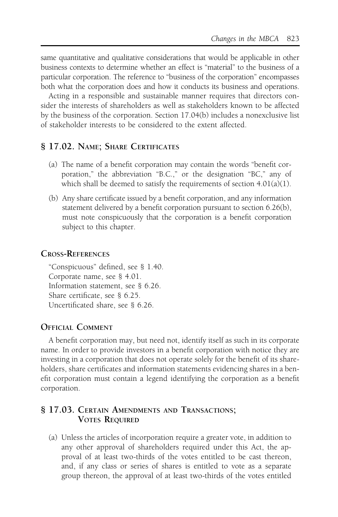same quantitative and qualitative considerations that would be applicable in other business contexts to determine whether an effect is "material" to the business of a particular corporation. The reference to "business of the corporation" encompasses both what the corporation does and how it conducts its business and operations.

Acting in a responsible and sustainable manner requires that directors consider the interests of shareholders as well as stakeholders known to be affected by the business of the corporation. Section 17.04(b) includes a nonexclusive list of stakeholder interests to be considered to the extent affected.

# § 17.02. NAME; SHARE CERTIFICATES

- (a) The name of a benefit corporation may contain the words "benefit corporation," the abbreviation "B.C.," or the designation "BC," any of which shall be deemed to satisfy the requirements of section 4.01(a)(1).
- (b) Any share certificate issued by a benefit corporation, and any information statement delivered by a benefit corporation pursuant to section 6.26(b), must note conspicuously that the corporation is a benefit corporation subject to this chapter.

#### CROSS-REFERENCES

"Conspicuous" defined, see § 1.40. Corporate name, see § 4.01. Information statement, see § 6.26. Share certificate, see § 6.25. Uncertificated share, see § 6.26.

### OFFICIAL COMMENT

A benefit corporation may, but need not, identify itself as such in its corporate name. In order to provide investors in a benefit corporation with notice they are investing in a corporation that does not operate solely for the benefit of its shareholders, share certificates and information statements evidencing shares in a benefit corporation must contain a legend identifying the corporation as a benefit corporation.

### § 17.03. CERTAIN AMENDMENTS AND TRANSACTIONS; VOTES REQUIRED

(a) Unless the articles of incorporation require a greater vote, in addition to any other approval of shareholders required under this Act, the approval of at least two-thirds of the votes entitled to be cast thereon, and, if any class or series of shares is entitled to vote as a separate group thereon, the approval of at least two-thirds of the votes entitled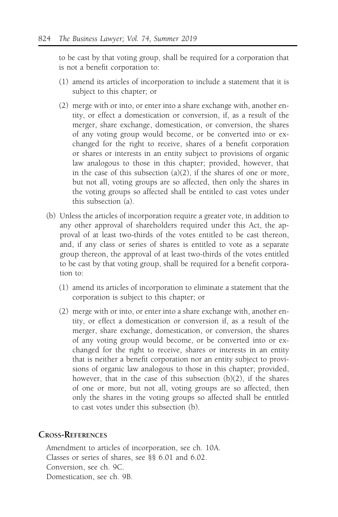to be cast by that voting group, shall be required for a corporation that is not a benefit corporation to:

- (1) amend its articles of incorporation to include a statement that it is subject to this chapter; or
- (2) merge with or into, or enter into a share exchange with, another entity, or effect a domestication or conversion, if, as a result of the merger, share exchange, domestication, or conversion, the shares of any voting group would become, or be converted into or exchanged for the right to receive, shares of a benefit corporation or shares or interests in an entity subject to provisions of organic law analogous to those in this chapter; provided, however, that in the case of this subsection  $(a)(2)$ , if the shares of one or more, but not all, voting groups are so affected, then only the shares in the voting groups so affected shall be entitled to cast votes under this subsection (a).
- (b) Unless the articles of incorporation require a greater vote, in addition to any other approval of shareholders required under this Act, the approval of at least two-thirds of the votes entitled to be cast thereon, and, if any class or series of shares is entitled to vote as a separate group thereon, the approval of at least two-thirds of the votes entitled to be cast by that voting group, shall be required for a benefit corporation to:
	- (1) amend its articles of incorporation to eliminate a statement that the corporation is subject to this chapter; or
	- (2) merge with or into, or enter into a share exchange with, another entity, or effect a domestication or conversion if, as a result of the merger, share exchange, domestication, or conversion, the shares of any voting group would become, or be converted into or exchanged for the right to receive, shares or interests in an entity that is neither a benefit corporation nor an entity subject to provisions of organic law analogous to those in this chapter; provided, however, that in the case of this subsection  $(b)(2)$ , if the shares of one or more, but not all, voting groups are so affected, then only the shares in the voting groups so affected shall be entitled to cast votes under this subsection (b).

# CROSS-REFERENCES

Amendment to articles of incorporation, see ch. 10A. Classes or series of shares, see §§ 6.01 and 6.02. Conversion, see ch. 9C. Domestication, see ch. 9B.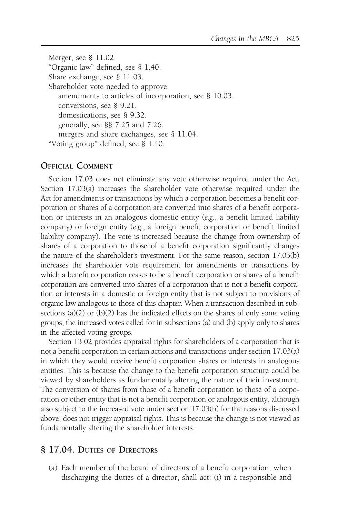Merger, see § 11.02. "Organic law" defined, see § 1.40. Share exchange, see § 11.03. Shareholder vote needed to approve: amendments to articles of incorporation, see § 10.03. conversions, see § 9.21. domestications, see § 9.32. generally, see §§ 7.25 and 7.26. mergers and share exchanges, see § 11.04. "Voting group" defined, see § 1.40.

#### OFFICIAL COMMENT

Section 17.03 does not eliminate any vote otherwise required under the Act. Section 17.03(a) increases the shareholder vote otherwise required under the Act for amendments or transactions by which a corporation becomes a benefit corporation or shares of a corporation are converted into shares of a benefit corporation or interests in an analogous domestic entity (e.g., a benefit limited liability company) or foreign entity (e.g., a foreign benefit corporation or benefit limited liability company). The vote is increased because the change from ownership of shares of a corporation to those of a benefit corporation significantly changes the nature of the shareholder's investment. For the same reason, section 17.03(b) increases the shareholder vote requirement for amendments or transactions by which a benefit corporation ceases to be a benefit corporation or shares of a benefit corporation are converted into shares of a corporation that is not a benefit corporation or interests in a domestic or foreign entity that is not subject to provisions of organic law analogous to those of this chapter. When a transaction described in subsections (a)(2) or (b)(2) has the indicated effects on the shares of only some voting groups, the increased votes called for in subsections (a) and (b) apply only to shares in the affected voting groups.

Section 13.02 provides appraisal rights for shareholders of a corporation that is not a benefit corporation in certain actions and transactions under section 17.03(a) in which they would receive benefit corporation shares or interests in analogous entities. This is because the change to the benefit corporation structure could be viewed by shareholders as fundamentally altering the nature of their investment. The conversion of shares from those of a benefit corporation to those of a corporation or other entity that is not a benefit corporation or analogous entity, although also subject to the increased vote under section 17.03(b) for the reasons discussed above, does not trigger appraisal rights. This is because the change is not viewed as fundamentally altering the shareholder interests.

### § 17.04. DUTIES OF DIRECTORS

(a) Each member of the board of directors of a benefit corporation, when discharging the duties of a director, shall act: (i) in a responsible and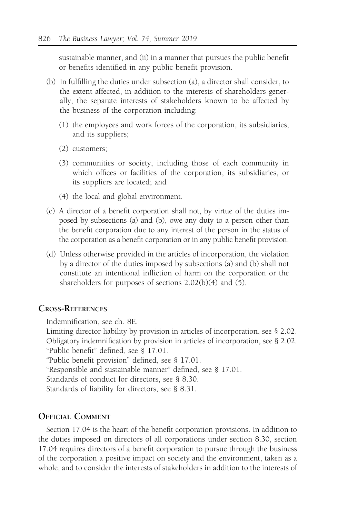sustainable manner, and (ii) in a manner that pursues the public benefit or benefits identified in any public benefit provision.

- (b) In fulfilling the duties under subsection (a), a director shall consider, to the extent affected, in addition to the interests of shareholders generally, the separate interests of stakeholders known to be affected by the business of the corporation including:
	- (1) the employees and work forces of the corporation, its subsidiaries, and its suppliers;
	- (2) customers;
	- (3) communities or society, including those of each community in which offices or facilities of the corporation, its subsidiaries, or its suppliers are located; and
	- (4) the local and global environment.
- (c) A director of a benefit corporation shall not, by virtue of the duties imposed by subsections (a) and (b), owe any duty to a person other than the benefit corporation due to any interest of the person in the status of the corporation as a benefit corporation or in any public benefit provision.
- (d) Unless otherwise provided in the articles of incorporation, the violation by a director of the duties imposed by subsections (a) and (b) shall not constitute an intentional infliction of harm on the corporation or the shareholders for purposes of sections 2.02(b)(4) and (5).

# CROSS-REFERENCES

Indemnification, see ch. 8E.

Limiting director liability by provision in articles of incorporation, see § 2.02. Obligatory indemnification by provision in articles of incorporation, see § 2.02. "Public benefit" defined, see § 17.01.

"Public benefit provision" defined, see § 17.01.

"Responsible and sustainable manner" defined, see § 17.01.

Standards of conduct for directors, see § 8.30.

Standards of liability for directors, see § 8.31.

# OFFICIAL COMMENT

Section 17.04 is the heart of the benefit corporation provisions. In addition to the duties imposed on directors of all corporations under section 8.30, section 17.04 requires directors of a benefit corporation to pursue through the business of the corporation a positive impact on society and the environment, taken as a whole, and to consider the interests of stakeholders in addition to the interests of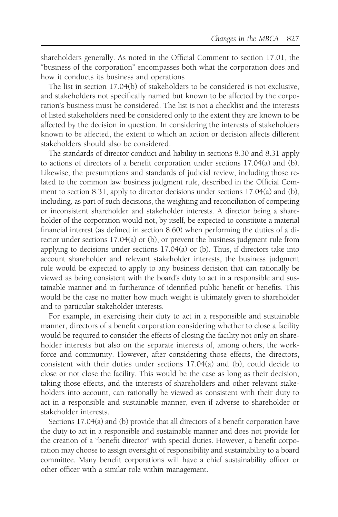shareholders generally. As noted in the Official Comment to section 17.01, the "business of the corporation" encompasses both what the corporation does and how it conducts its business and operations

The list in section 17.04(b) of stakeholders to be considered is not exclusive, and stakeholders not specifically named but known to be affected by the corporation's business must be considered. The list is not a checklist and the interests of listed stakeholders need be considered only to the extent they are known to be affected by the decision in question. In considering the interests of stakeholders known to be affected, the extent to which an action or decision affects different stakeholders should also be considered.

The standards of director conduct and liability in sections 8.30 and 8.31 apply to actions of directors of a benefit corporation under sections 17.04(a) and (b). Likewise, the presumptions and standards of judicial review, including those related to the common law business judgment rule, described in the Official Comment to section 8.31, apply to director decisions under sections 17.04(a) and (b), including, as part of such decisions, the weighting and reconciliation of competing or inconsistent shareholder and stakeholder interests. A director being a shareholder of the corporation would not, by itself, be expected to constitute a material financial interest (as defined in section 8.60) when performing the duties of a director under sections 17.04(a) or (b), or prevent the business judgment rule from applying to decisions under sections 17.04(a) or (b). Thus, if directors take into account shareholder and relevant stakeholder interests, the business judgment rule would be expected to apply to any business decision that can rationally be viewed as being consistent with the board's duty to act in a responsible and sustainable manner and in furtherance of identified public benefit or benefits. This would be the case no matter how much weight is ultimately given to shareholder and to particular stakeholder interests.

For example, in exercising their duty to act in a responsible and sustainable manner, directors of a benefit corporation considering whether to close a facility would be required to consider the effects of closing the facility not only on shareholder interests but also on the separate interests of, among others, the workforce and community. However, after considering those effects, the directors, consistent with their duties under sections  $17.04(a)$  and (b), could decide to close or not close the facility. This would be the case as long as their decision, taking those effects, and the interests of shareholders and other relevant stakeholders into account, can rationally be viewed as consistent with their duty to act in a responsible and sustainable manner, even if adverse to shareholder or stakeholder interests.

Sections 17.04(a) and (b) provide that all directors of a benefit corporation have the duty to act in a responsible and sustainable manner and does not provide for the creation of a "benefit director" with special duties. However, a benefit corporation may choose to assign oversight of responsibility and sustainability to a board committee. Many benefit corporations will have a chief sustainability officer or other officer with a similar role within management.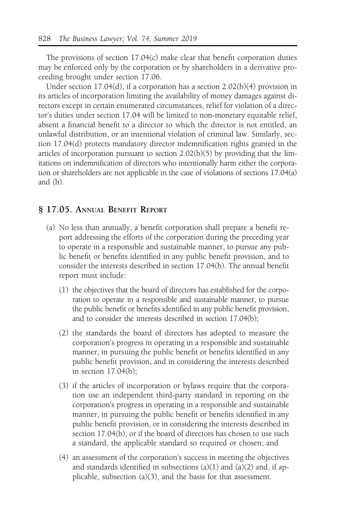The provisions of section 17.04(c) make clear that benefit corporation duties may be enforced only by the corporation or by shareholders in a derivative proceeding brought under section 17.06.

Under section 17.04(d), if a corporation has a section 2.02(b)(4) provision in its articles of incorporation limiting the availability of money damages against directors except in certain enumerated circumstances, relief for violation of a director's duties under section 17.04 will be limited to non-monetary equitable relief, absent a financial benefit to a director to which the director is not entitled, an unlawful distribution, or an intentional violation of criminal law. Similarly, section 17.04(d) protects mandatory director indemnification rights granted in the articles of incorporation pursuant to section 2.02(b)(5) by providing that the limitations on indemnification of directors who intentionally harm either the corporation or shareholders are not applicable in the case of violations of sections 17.04(a) and (b).

# § 17.05. ANNUAL BENEFIT REPORT

- (a) No less than annually, a benefit corporation shall prepare a benefit report addressing the efforts of the corporation during the preceding year to operate in a responsible and sustainable manner, to pursue any public benefit or benefits identified in any public benefit provision, and to consider the interests described in section 17.04(b). The annual benefit report must include:
	- (1) the objectives that the board of directors has established for the corporation to operate in a responsible and sustainable manner, to pursue the public benefit or benefits identified in any public benefit provision, and to consider the interests described in section 17.04(b);
	- (2) the standards the board of directors has adopted to measure the corporation's progress in operating in a responsible and sustainable manner, in pursuing the public benefit or benefits identified in any public benefit provision, and in considering the interests described in section 17.04(b);
	- (3) if the articles of incorporation or bylaws require that the corporation use an independent third-party standard in reporting on the corporation's progress in operating in a responsible and sustainable manner, in pursuing the public benefit or benefits identified in any public benefit provision, or in considering the interests described in section 17.04(b), or if the board of directors has chosen to use such a standard, the applicable standard so required or chosen; and
	- (4) an assessment of the corporation's success in meeting the objectives and standards identified in subsections  $(a)(1)$  and  $(a)(2)$  and, if applicable, subsection (a)(3), and the basis for that assessment.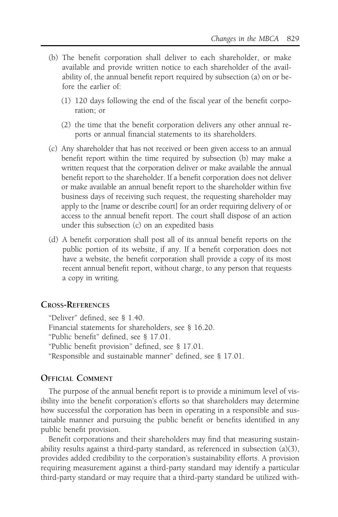- (b) The benefit corporation shall deliver to each shareholder, or make available and provide written notice to each shareholder of the availability of, the annual benefit report required by subsection (a) on or before the earlier of:
	- (1) 120 days following the end of the fiscal year of the benefit corporation; or
	- (2) the time that the benefit corporation delivers any other annual reports or annual financial statements to its shareholders.
- (c) Any shareholder that has not received or been given access to an annual benefit report within the time required by subsection (b) may make a written request that the corporation deliver or make available the annual benefit report to the shareholder. If a benefit corporation does not deliver or make available an annual benefit report to the shareholder within five business days of receiving such request, the requesting shareholder may apply to the [name or describe court] for an order requiring delivery of or access to the annual benefit report. The court shall dispose of an action under this subsection (c) on an expedited basis
- (d) A benefit corporation shall post all of its annual benefit reports on the public portion of its website, if any. If a benefit corporation does not have a website, the benefit corporation shall provide a copy of its most recent annual benefit report, without charge, to any person that requests a copy in writing.

### CROSS-REFERENCES

"Deliver" defined, see § 1.40. Financial statements for shareholders, see § 16.20. "Public benefit" defined, see § 17.01. "Public benefit provision" defined, see § 17.01. "Responsible and sustainable manner" defined, see § 17.01.

### OFFICIAL COMMENT

The purpose of the annual benefit report is to provide a minimum level of visibility into the benefit corporation's efforts so that shareholders may determine how successful the corporation has been in operating in a responsible and sustainable manner and pursuing the public benefit or benefits identified in any public benefit provision.

Benefit corporations and their shareholders may find that measuring sustainability results against a third-party standard, as referenced in subsection (a)(3), provides added credibility to the corporation's sustainability efforts. A provision requiring measurement against a third-party standard may identify a particular third-party standard or may require that a third-party standard be utilized with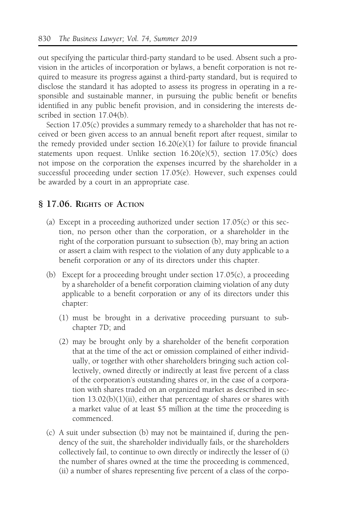out specifying the particular third-party standard to be used. Absent such a provision in the articles of incorporation or bylaws, a benefit corporation is not required to measure its progress against a third-party standard, but is required to disclose the standard it has adopted to assess its progress in operating in a responsible and sustainable manner, in pursuing the public benefit or benefits identified in any public benefit provision, and in considering the interests described in section 17.04(b).

Section 17.05(c) provides a summary remedy to a shareholder that has not received or been given access to an annual benefit report after request, similar to the remedy provided under section 16.20(e)(1) for failure to provide financial statements upon request. Unlike section 16.20(e)(5), section 17.05(c) does not impose on the corporation the expenses incurred by the shareholder in a successful proceeding under section 17.05(e). However, such expenses could be awarded by a court in an appropriate case.

# § 17.06. RIGHTS OF ACTION

- (a) Except in a proceeding authorized under section 17.05(c) or this section, no person other than the corporation, or a shareholder in the right of the corporation pursuant to subsection (b), may bring an action or assert a claim with respect to the violation of any duty applicable to a benefit corporation or any of its directors under this chapter.
- (b) Except for a proceeding brought under section 17.05(c), a proceeding by a shareholder of a benefit corporation claiming violation of any duty applicable to a benefit corporation or any of its directors under this chapter:
	- (1) must be brought in a derivative proceeding pursuant to subchapter 7D; and
	- (2) may be brought only by a shareholder of the benefit corporation that at the time of the act or omission complained of either individually, or together with other shareholders bringing such action collectively, owned directly or indirectly at least five percent of a class of the corporation's outstanding shares or, in the case of a corporation with shares traded on an organized market as described in section 13.02(b)(1)(ii), either that percentage of shares or shares with a market value of at least \$5 million at the time the proceeding is commenced.
- (c) A suit under subsection (b) may not be maintained if, during the pendency of the suit, the shareholder individually fails, or the shareholders collectively fail, to continue to own directly or indirectly the lesser of (i) the number of shares owned at the time the proceeding is commenced, (ii) a number of shares representing five percent of a class of the corpo-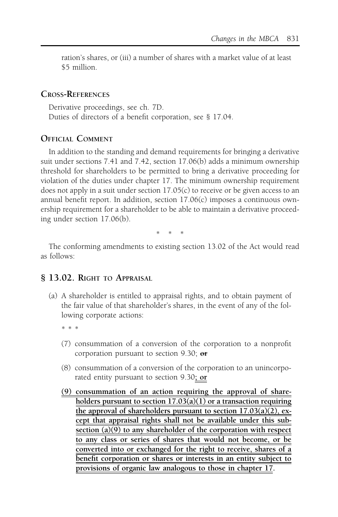ration's shares, or (iii) a number of shares with a market value of at least \$5 million.

### CROSS-REFERENCES

Derivative proceedings, see ch. 7D. Duties of directors of a benefit corporation, see § 17.04.

### OFFICIAL COMMENT

In addition to the standing and demand requirements for bringing a derivative suit under sections 7.41 and 7.42, section 17.06(b) adds a minimum ownership threshold for shareholders to be permitted to bring a derivative proceeding for violation of the duties under chapter 17. The minimum ownership requirement does not apply in a suit under section  $17.05(c)$  to receive or be given access to an annual benefit report. In addition, section 17.06(c) imposes a continuous ownership requirement for a shareholder to be able to maintain a derivative proceeding under section 17.06(b).

\*\*\*

The conforming amendments to existing section 13.02 of the Act would read as follows:

### § 13.02. RIGHT TO APPRAISAL

- (a) A shareholder is entitled to appraisal rights, and to obtain payment of the fair value of that shareholder's shares, in the event of any of the following corporate actions:
	- \*\*\*
	- (7) consummation of a conversion of the corporation to a nonprofit corporation pursuant to section 9.30;  $er$
	- (8) consummation of a conversion of the corporation to an unincorporated entity pursuant to section  $9.30$ ; or
	- (9) consummation of an action requiring the approval of shareholders pursuant to section  $17.03(a)(1)$  or a transaction requiring the approval of shareholders pursuant to section  $17.03(a)(2)$ , except that appraisal rights shall not be available under this subsection (a)(9) to any shareholder of the corporation with respect to any class or series of shares that would not become, or be converted into or exchanged for the right to receive, shares of a benefit corporation or shares or interests in an entity subject to provisions of organic law analogous to those in chapter 17.